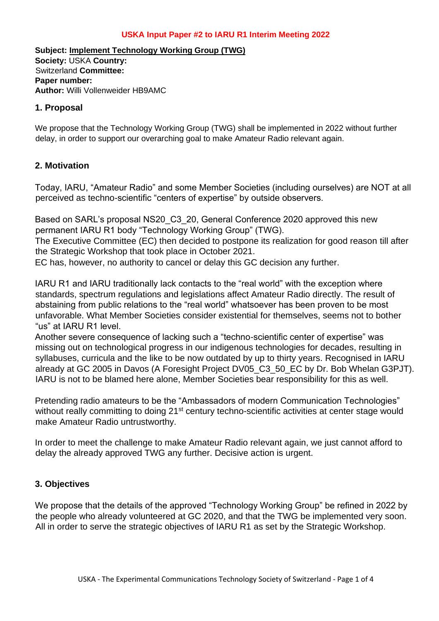### **USKA Input Paper #2 to IARU R1 Interim Meeting 2022**

**Subject: Implement Technology Working Group (TWG) Society:** USKA **Country:**  Switzerland **Committee: Paper number: Author:** Willi Vollenweider HB9AMC

#### **1. Proposal**

We propose that the Technology Working Group (TWG) shall be implemented in 2022 without further delay, in order to support our overarching goal to make Amateur Radio relevant again.

## **2. Motivation**

Today, IARU, "Amateur Radio" and some Member Societies (including ourselves) are NOT at all perceived as techno-scientific "centers of expertise" by outside observers.

Based on SARL's proposal NS20\_C3\_20, General Conference 2020 approved this new permanent IARU R1 body "Technology Working Group" (TWG).

The Executive Committee (EC) then decided to postpone its realization for good reason till after the Strategic Workshop that took place in October 2021.

EC has, however, no authority to cancel or delay this GC decision any further.

IARU R1 and IARU traditionally lack contacts to the "real world" with the exception where standards, spectrum regulations and legislations affect Amateur Radio directly. The result of abstaining from public relations to the "real world" whatsoever has been proven to be most unfavorable. What Member Societies consider existential for themselves, seems not to bother "us" at IARU R1 level.

Another severe consequence of lacking such a "techno-scientific center of expertise" was missing out on technological progress in our indigenous technologies for decades, resulting in syllabuses, curricula and the like to be now outdated by up to thirty years. Recognised in IARU already at GC 2005 in Davos (A Foresight Project DV05\_C3\_50\_EC by Dr. Bob Whelan G3PJT). IARU is not to be blamed here alone, Member Societies bear responsibility for this as well.

Pretending radio amateurs to be the "Ambassadors of modern Communication Technologies" without really committing to doing 21<sup>st</sup> century techno-scientific activities at center stage would make Amateur Radio untrustworthy.

In order to meet the challenge to make Amateur Radio relevant again, we just cannot afford to delay the already approved TWG any further. Decisive action is urgent.

# **3. Objectives**

We propose that the details of the approved "Technology Working Group" be refined in 2022 by the people who already volunteered at GC 2020, and that the TWG be implemented very soon. All in order to serve the strategic objectives of IARU R1 as set by the Strategic Workshop.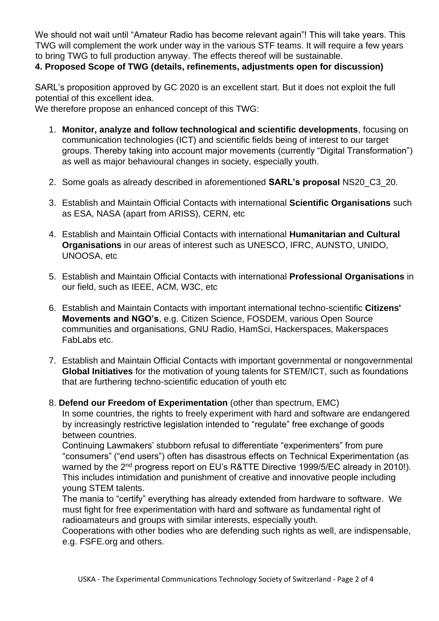We should not wait until "Amateur Radio has become relevant again"! This will take years. This TWG will complement the work under way in the various STF teams. It will require a few years to bring TWG to full production anyway. The effects thereof will be sustainable.

**4. Proposed Scope of TWG (details, refinements, adjustments open for discussion)** 

SARL's proposition approved by GC 2020 is an excellent start. But it does not exploit the full potential of this excellent idea.

We therefore propose an enhanced concept of this TWG:

- 1. **Monitor, analyze and follow technological and scientific developments**, focusing on communication technologies (ICT) and scientific fields being of interest to our target groups. Thereby taking into account major movements (currently "Digital Transformation") as well as major behavioural changes in society, especially youth.
- 2. Some goals as already described in aforementioned **SARL's proposal** NS20\_C3\_20.
- 3. Establish and Maintain Official Contacts with international **Scientific Organisations** such as ESA, NASA (apart from ARISS), CERN, etc
- 4. Establish and Maintain Official Contacts with international **Humanitarian and Cultural Organisations** in our areas of interest such as UNESCO, IFRC, AUNSTO, UNIDO, UNOOSA, etc
- 5. Establish and Maintain Official Contacts with international **Professional Organisations** in our field, such as IEEE, ACM, W3C, etc
- 6. Establish and Maintain Contacts with important international techno-scientific **Citizens' Movements and NGO's**, e.g. Citizen Science, FOSDEM, various Open Source communities and organisations, GNU Radio, HamSci, Hackerspaces, Makerspaces FabLabs etc.
- 7. Establish and Maintain Official Contacts with important governmental or nongovernmental **Global Initiatives** for the motivation of young talents for STEM/ICT, such as foundations that are furthering techno-scientific education of youth etc
- 8. **Defend our Freedom of Experimentation** (other than spectrum, EMC)

In some countries, the rights to freely experiment with hard and software are endangered by increasingly restrictive legislation intended to "regulate" free exchange of goods between countries.

Continuing Lawmakers' stubborn refusal to differentiate "experimenters" from pure "consumers" ("end users") often has disastrous effects on Technical Experimentation (as warned by the 2<sup>nd</sup> progress report on EU's R&TTE Directive 1999/5/EC already in 2010!). This includes intimidation and punishment of creative and innovative people including young STEM talents.

The mania to "certify" everything has already extended from hardware to software. We must fight for free experimentation with hard and software as fundamental right of radioamateurs and groups with similar interests, especially youth.

Cooperations with other bodies who are defending such rights as well, are indispensable, e.g. FSFE.org and others.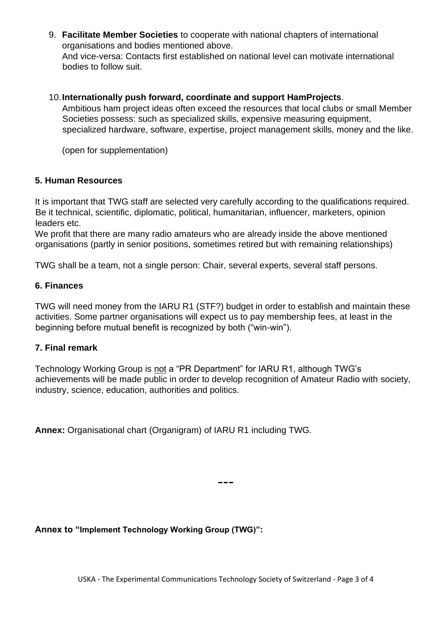9. **Facilitate Member Societies** to cooperate with national chapters of international organisations and bodies mentioned above. And vice-versa: Contacts first established on national level can motivate international bodies to follow suit.

#### 10.**Internationally push forward, coordinate and support HamProjects**.

Ambitious ham project ideas often exceed the resources that local clubs or small Member Societies possess: such as specialized skills, expensive measuring equipment, specialized hardware, software, expertise, project management skills, money and the like.

(open for supplementation)

#### **5. Human Resources**

It is important that TWG staff are selected very carefully according to the qualifications required. Be it technical, scientific, diplomatic, political, humanitarian, influencer, marketers, opinion leaders etc.

We profit that there are many radio amateurs who are already inside the above mentioned organisations (partly in senior positions, sometimes retired but with remaining relationships)

TWG shall be a team, not a single person: Chair, several experts, several staff persons.

### **6. Finances**

TWG will need money from the IARU R1 (STF?) budget in order to establish and maintain these activities. Some partner organisations will expect us to pay membership fees, at least in the beginning before mutual benefit is recognized by both ("win-win").

#### **7. Final remark**

Technology Working Group is not a "PR Department" for IARU R1, although TWG's achievements will be made public in order to develop recognition of Amateur Radio with society, industry, science, education, authorities and politics.

**Annex:** Organisational chart (Organigram) of IARU R1 including TWG.

---

**Annex to "Implement Technology Working Group (TWG)":**